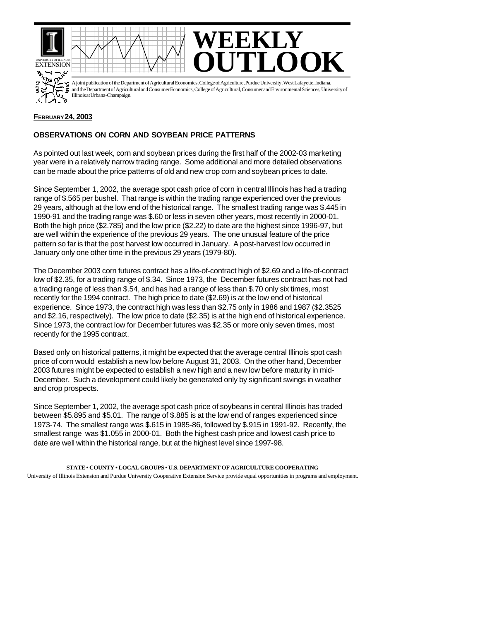



A joint publication of the Department of Agricultural Economics, College of Agriculture, Purdue University, West Lafayette, Indiana, and the Department of Agricultural and Consumer Economics, College of Agricultural, Consumer and Environmental Sciences, University of Illinois at Urbana-Champaign.

**WEEKLY**

## **FEBRUARY 24, 2003**

## **OBSERVATIONS ON CORN AND SOYBEAN PRICE PATTERNS**

As pointed out last week, corn and soybean prices during the first half of the 2002-03 marketing year were in a relatively narrow trading range. Some additional and more detailed observations can be made about the price patterns of old and new crop corn and soybean prices to date.

Since September 1, 2002, the average spot cash price of corn in central Illinois has had a trading range of \$.565 per bushel. That range is within the trading range experienced over the previous 29 years, although at the low end of the historical range. The smallest trading range was \$.445 in 1990-91 and the trading range was \$.60 or less in seven other years, most recently in 2000-01. Both the high price (\$2.785) and the low price (\$2.22) to date are the highest since 1996-97, but are well within the experience of the previous 29 years. The one unusual feature of the price pattern so far is that the post harvest low occurred in January. A post-harvest low occurred in January only one other time in the previous 29 years (1979-80).

The December 2003 corn futures contract has a life-of-contract high of \$2.69 and a life-of-contract low of \$2.35, for a trading range of \$.34. Since 1973, the December futures contract has not had a trading range of less than \$.54, and has had a range of less than \$.70 only six times, most recently for the 1994 contract. The high price to date (\$2.69) is at the low end of historical experience. Since 1973, the contract high was less than \$2.75 only in 1986 and 1987 (\$2.3525 and \$2.16, respectively). The low price to date (\$2.35) is at the high end of historical experience. Since 1973, the contract low for December futures was \$2.35 or more only seven times, most recently for the 1995 contract.

Based only on historical patterns, it might be expected that the average central Illinois spot cash price of corn would establish a new low before August 31, 2003. On the other hand, December 2003 futures might be expected to establish a new high and a new low before maturity in mid-December. Such a development could likely be generated only by significant swings in weather and crop prospects.

Since September 1, 2002, the average spot cash price of soybeans in central Illinois has traded between \$5.895 and \$5.01. The range of \$.885 is at the low end of ranges experienced since 1973-74. The smallest range was \$.615 in 1985-86, followed by \$.915 in 1991-92. Recently, the smallest range was \$1.055 in 2000-01. Both the highest cash price and lowest cash price to date are well within the historical range, but at the highest level since 1997-98.

**STATE • COUNTY • LOCAL GROUPS • U.S. DEPARTMENT OF AGRICULTURE COOPERATING** University of Illinois Extension and Purdue University Cooperative Extension Service provide equal opportunities in programs and employment.